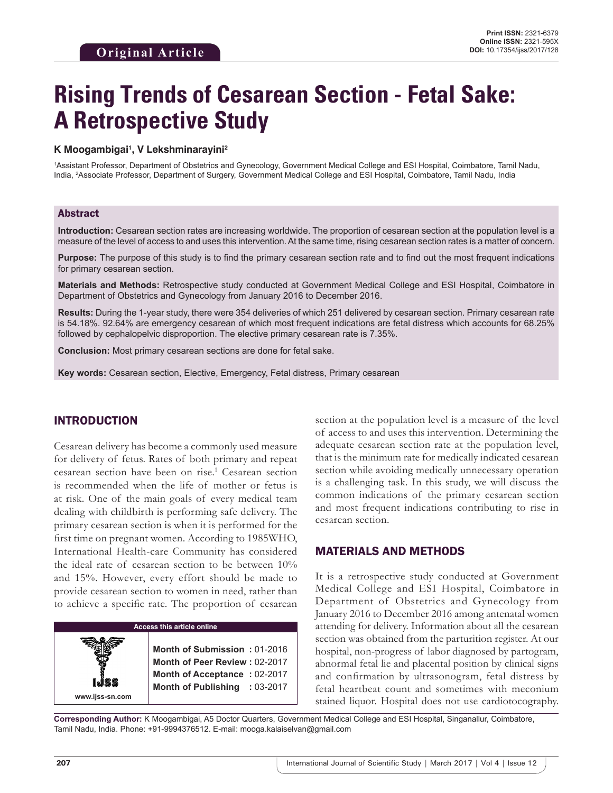# **Rising Trends of Cesarean Section - Fetal Sake: A Retrospective Study**

#### **K Moogambigai1 , V Lekshminarayini2**

1 Assistant Professor, Department of Obstetrics and Gynecology, Government Medical College and ESI Hospital, Coimbatore, Tamil Nadu, India, 2 Associate Professor, Department of Surgery, Government Medical College and ESI Hospital, Coimbatore, Tamil Nadu, India

#### Abstract

**Introduction:** Cesarean section rates are increasing worldwide. The proportion of cesarean section at the population level is a measure of the level of access to and uses this intervention. At the same time, rising cesarean section rates is a matter of concern.

**Purpose:** The purpose of this study is to find the primary cesarean section rate and to find out the most frequent indications for primary cesarean section.

**Materials and Methods:** Retrospective study conducted at Government Medical College and ESI Hospital, Coimbatore in Department of Obstetrics and Gynecology from January 2016 to December 2016.

**Results:** During the 1-year study, there were 354 deliveries of which 251 delivered by cesarean section. Primary cesarean rate is 54.18%. 92.64% are emergency cesarean of which most frequent indications are fetal distress which accounts for 68.25% followed by cephalopelvic disproportion. The elective primary cesarean rate is 7.35%.

**Conclusion:** Most primary cesarean sections are done for fetal sake.

**Key words:** Cesarean section, Elective, Emergency, Fetal distress, Primary cesarean

## INTRODUCTION

Cesarean delivery has become a commonly used measure for delivery of fetus. Rates of both primary and repeat cesarean section have been on rise.<sup>1</sup> Cesarean section is recommended when the life of mother or fetus is at risk. One of the main goals of every medical team dealing with childbirth is performing safe delivery. The primary cesarean section is when it is performed for the first time on pregnant women. According to 1985WHO, International Health-care Community has considered the ideal rate of cesarean section to be between 10% and 15%. However, every effort should be made to provide cesarean section to women in need, rather than to achieve a specific rate. The proportion of cesarean



section at the population level is a measure of the level of access to and uses this intervention. Determining the adequate cesarean section rate at the population level, that is the minimum rate for medically indicated cesarean section while avoiding medically unnecessary operation is a challenging task. In this study, we will discuss the common indications of the primary cesarean section and most frequent indications contributing to rise in cesarean section.

## MATERIALS AND METHODS

It is a retrospective study conducted at Government Medical College and ESI Hospital, Coimbatore in Department of Obstetrics and Gynecology from January 2016 to December 2016 among antenatal women attending for delivery. Information about all the cesarean section was obtained from the parturition register. At our hospital, non-progress of labor diagnosed by partogram, abnormal fetal lie and placental position by clinical signs and confirmation by ultrasonogram, fetal distress by fetal heartbeat count and sometimes with meconium stained liquor. Hospital does not use cardiotocography.

**Corresponding Author:** K Moogambigai, A5 Doctor Quarters, Government Medical College and ESI Hospital, Singanallur, Coimbatore, Tamil Nadu, India. Phone: +91-9994376512. E-mail: mooga.kalaiselvan@gmail.com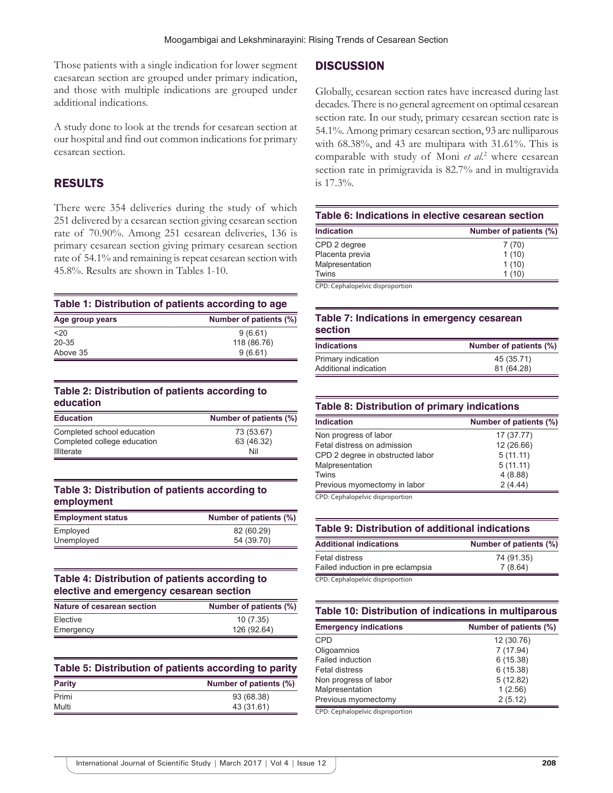Those patients with a single indication for lower segment caesarean section are grouped under primary indication, and those with multiple indications are grouped under additional indications.

A study done to look at the trends for cesarean section at our hospital and find out common indications for primary cesarean section.

## RESULTS

There were 354 deliveries during the study of which 251 delivered by a cesarean section giving cesarean section rate of 70.90%. Among 251 cesarean deliveries, 136 is primary cesarean section giving primary cesarean section rate of 54.1% and remaining is repeat cesarean section with 45.8%. Results are shown in Tables 1-10.

#### **Table 1: Distribution of patients according to age**

| Age group years | Number of patients (%) |
|-----------------|------------------------|
| $20$            | 9(6.61)                |
| 20-35           | 118 (86.76)            |
| Above 35        | 9(6.61)                |

#### **Table 2: Distribution of patients according to education**

| <b>Education</b>            | Number of patients (%) |
|-----------------------------|------------------------|
| Completed school education  | 73 (53.67)             |
| Completed college education | 63 (46.32)             |
| <b>Illiterate</b>           | Nil                    |

### **Table 3: Distribution of patients according to employment**

| <b>Employment status</b> | Number of patients (%) |
|--------------------------|------------------------|
| Employed                 | 82 (60.29)             |
| Unemployed               | 54 (39.70)             |

## **Table 4: Distribution of patients according to elective and emergency cesarean section**

| Nature of cesarean section | Number of patients (%) |
|----------------------------|------------------------|
| Elective                   | 10(7.35)               |
| Emergency                  | 126 (92.64)            |

#### **Table 5: Distribution of patients according to parity**

| Parity | Number of patients (%) |
|--------|------------------------|
| Primi  | 93 (68.38)             |
| Multi  | 43 (31.61)             |

### **DISCUSSION**

Globally, cesarean section rates have increased during last decades. There is no general agreement on optimal cesarean section rate. In our study, primary cesarean section rate is 54.1%. Among primary cesarean section, 93 are nulliparous with 68.38%, and 43 are multipara with 31.61%. This is comparable with study of Moni *et al.*<sup>2</sup> where cesarean section rate in primigravida is 82.7% and in multigravida is 17.3%.

## **Table 6: Indications in elective cesarean section**

| <b>Indication</b> | Number of patients (%) |
|-------------------|------------------------|
| CPD 2 degree      | 7(70)                  |
| Placenta previa   | 1(10)                  |
| Malpresentation   | 1(10)                  |
| Twins             | 1(10)                  |

CPD: Cephalopelvic disproportion

#### **Table 7: Indications in emergency cesarean section**

| <b>Indications</b>    | Number of patients (%) |
|-----------------------|------------------------|
| Primary indication    | 45 (35.71)             |
| Additional indication | 81 (64.28)             |

#### **Table 8: Distribution of primary indications**

| <b>Indication</b>                | Number of patients (%) |
|----------------------------------|------------------------|
| Non progress of labor            | 17 (37.77)             |
| Fetal distress on admission      | 12 (26.66)             |
| CPD 2 degree in obstructed labor | 5(11.11)               |
| Malpresentation                  | 5(11.11)               |
| Twins                            | 4(8.88)                |
| Previous myomectomy in labor     | 2(4.44)                |
|                                  |                        |

CPD: Cephalopelvic disproportion

| Table 9: Distribution of additional indications |                        |
|-------------------------------------------------|------------------------|
| <b>Additional indications</b>                   | Number of patients (%) |

| лччногит шчючного                 | <b>ITHING OF PULICE</b> |
|-----------------------------------|-------------------------|
| Fetal distress                    | 74 (91.35)              |
| Failed induction in pre eclampsia | 7(8.64)                 |
|                                   |                         |

CPD: Cephalopelvic disproportion

#### **Table 10: Distribution of indications in multiparous**

| <b>Emergency indications</b> | Number of patients (%) |
|------------------------------|------------------------|
| CPD                          | 12 (30.76)             |
| Oligoamnios                  | 7(17.94)               |
| Failed induction             | 6(15.38)               |
| Fetal distress               | 6(15.38)               |
| Non progress of labor        | 5(12.82)               |
| Malpresentation              | 1(2.56)                |
| Previous myomectomy          | 2(5.12)                |

CPD: Cephalopelvic disproportion